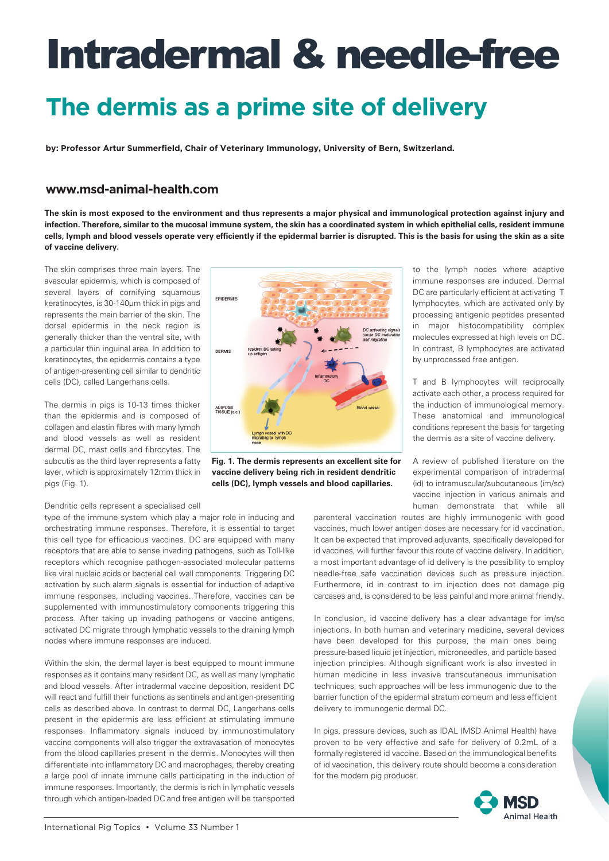## **The dermis as a prime site of delivery**

**by: Professor Artur Summerfield, Chair of Veterinary Immunology, University of Bern, Switzerland.** 

### **[www.msd-animal-health.com](http://www.msd-animal-health.com)**

**The skin is most exposed to the environment and thus represents a major physical and immunological protection against injury and infection. Therefore, similar to the mucosal immune system, the skin has a coordinated system in which epithelial cells, resident immune cells, lymph and blood vessels operate very efficiently if the epidermal barrier is disrupted. This is the basis for using the skin as a site of vaccine delivery.**

The skin comprises three main layers. The avascular epidermis, which is composed of several layers of cornifying squamous keratinocytes, is 30-140μm thick in pigs and represents the main barrier of the skin. The dorsal epidermis in the neck region is generally thicker than the ventral site, with a particular thin inguinal area. In addition to keratinocytes, the epidermis contains a type of antigen-presenting cell similar to dendritic cells (DC), called Langerhans cells.

The dermis in pigs is 10-13 times thicker than the epidermis and is composed of collagen and elastin fibres with many lymph and blood vessels as well as resident dermal DC, mast cells and fibrocytes. The subcutis as the third layer represents a fatty layer, which is approximately 12mm thick in pigs (Fig. 1).

#### Dendritic cells represent a specialised cell

type of the immune system which play a major role in inducing and orchestrating immune responses. Therefore, it is essential to target this cell type for efficacious vaccines. DC are equipped with many receptors that are able to sense invading pathogens, such as Toll-like receptors which recognise pathogen-associated molecular patterns like viral nucleic acids or bacterial cell wall components. Triggering DC activation by such alarm signals is essential for induction of adaptive immune responses, including vaccines. Therefore, vaccines can be supplemented with immunostimulatory components triggering this process. After taking up invading pathogens or vaccine antigens, activated DC migrate through lymphatic vessels to the draining lymph nodes where immune responses are induced.

Within the skin, the dermal layer is best equipped to mount immune responses as it contains many resident DC, as well as many lymphatic and blood vessels. After intradermal vaccine deposition, resident DC will react and fulfill their functions as sentinels and antigen-presenting cells as described above. In contrast to dermal DC, Langerhans cells present in the epidermis are less efficient at stimulating immune responses. Inflammatory signals induced by immunostimulatory vaccine components will also trigger the extravasation of monocytes from the blood capillaries present in the dermis. Monocytes will then differentiate into inflammatory DC and macrophages, thereby creating a large pool of innate immune cells participating in the induction of immune responses. Importantly, the dermis is rich in lymphatic vessels through which antigen-loaded DC and free antigen will be transported



**Fig. 1. The dermis represents an excellent site for vaccine delivery being rich in resident dendritic cells (DC), lymph vessels and blood capillaries.**

to the lymph nodes where adaptive immune responses are induced. Dermal DC are particularly efficient at activating T lymphocytes, which are activated only by processing antigenic peptides presented in major histocompatibility complex molecules expressed at high levels on DC. In contrast, B lymphocytes are activated by unprocessed free antigen.

T and B lymphocytes will reciprocally activate each other, a process required for the induction of immunological memory. These anatomical and immunological conditions represent the basis for targeting the dermis as a site of vaccine delivery.

A review of published literature on the experimental comparison of intradermal (id) to intramuscular/subcutaneous (im/sc) vaccine injection in various animals and human demonstrate that while all

parenteral vaccination routes are highly immunogenic with good vaccines, much lower antigen doses are necessary for id vaccination. It can be expected that improved adjuvants, specifically developed for id vaccines, will further favour this route of vaccine delivery. In addition, a most important advantage of id delivery is the possibility to employ needle-free safe vaccination devices such as pressure injection. Furthermore, id in contrast to im injection does not damage pig carcases and, is considered to be less painful and more animal friendly.

In conclusion, id vaccine delivery has a clear advantage for im/sc injections. In both human and veterinary medicine, several devices have been developed for this purpose, the main ones being pressure-based liquid jet injection, microneedles, and particle based injection principles. Although significant work is also invested in human medicine in less invasive transcutaneous immunisation techniques, such approaches will be less immunogenic due to the barrier function of the epidermal stratum corneum and less efficient delivery to immunogenic dermal DC.

In pigs, pressure devices, such as IDAL (MSD Animal Health) have proven to be very effective and safe for delivery of 0.2mL of a formally registered id vaccine. Based on the immunological benefits of id vaccination, this delivery route should become a consideration for the modern pig producer.

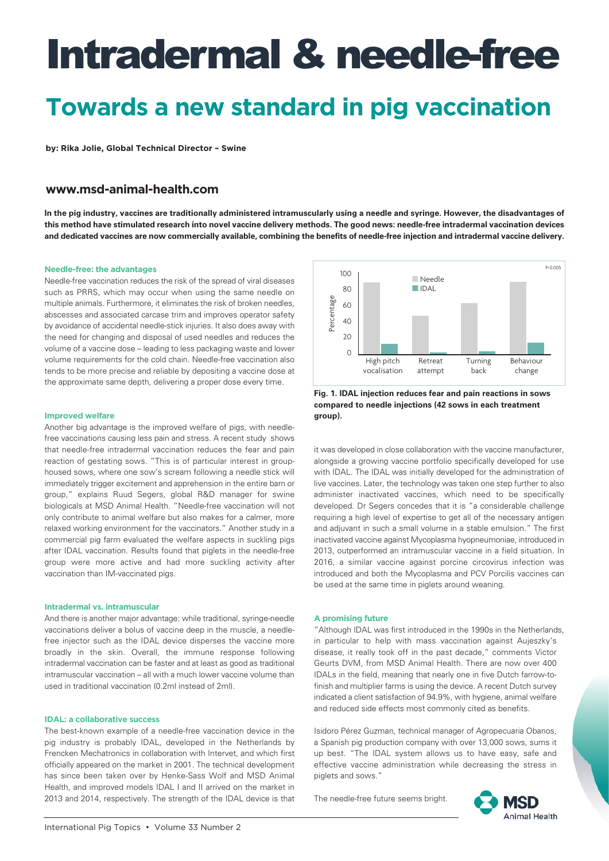## **Towards a new standard in pig vaccination**

**by: Rika Jolie, Global Technical Director – Swine** 

### **[www.msd-animal-health.com](http://www.msd-animal-health.com)**

**In the pig industry, vaccines are traditionally administered intramuscularly using a needle and syringe. However, the disadvantages of this method have stimulated research into novel vaccine delivery methods. The good news: needle-free intradermal vaccination devices and dedicated vaccines are now commercially available, combining the benefits of needle-free injection and intradermal vaccine delivery.** 

#### **Needle-free: the advantages**

Needle-free vaccination reduces the risk of the spread of viral diseases such as PRRS, which may occur when using the same needle on multiple animals. Furthermore, it eliminates the risk of broken needles, abscesses and associated carcase trim and improves operator safety by avoidance of accidental needle-stick injuries. It also does away with the need for changing and disposal of used needles and reduces the volume of a vaccine dose – leading to less packaging waste and lower volume requirements for the cold chain. Needle-free vaccination also tends to be more precise and reliable by depositing a vaccine dose at the approximate same depth, delivering a proper dose every time.

#### **Improved welfare**

Another big advantage is the improved welfare of pigs, with needlefree vaccinations causing less pain and stress. A recent study shows that needle-free intradermal vaccination reduces the fear and pain reaction of gestating sows. "This is of particular interest in grouphoused sows, where one sow's scream following a needle stick will immediately trigger excitement and apprehension in the entire barn or group," explains Ruud Segers, global R&D manager for swine biologicals at MSD Animal Health. "Needle-free vaccination will not only contribute to animal welfare but also makes for a calmer, more relaxed working environment for the vaccinators." Another study in a commercial pig farm evaluated the welfare aspects in suckling pigs after IDAL vaccination. Results found that piglets in the needle-free group were more active and had more suckling activity after vaccination than IM-vaccinated pigs.

#### **Intradermal vs. intramuscular**

And there is another major advantage: while traditional, syringe-needle vaccinations deliver a bolus of vaccine deep in the muscle, a needlefree injector such as the IDAL device disperses the vaccine more broadly in the skin. Overall, the immune response following intradermal vaccination can be faster and at least as good as traditional intramuscular vaccination – all with a much lower vaccine volume than used in traditional vaccination (0.2ml instead of 2ml).

#### **IDAL: a collaborative success**

The best-known example of a needle-free vaccination device in the pig industry is probably IDAL, developed in the Netherlands by Frencken Mechatronics in collaboration with Intervet, and which first officially appeared on the market in 2001. The technical development has since been taken over by Henke-Sass Wolf and MSD Animal Health, and improved models IDAL I and II arrived on the market in 2013 and 2014, respectively. The strength of the IDAL device is that



**Fig. 1. IDAL injection reduces fear and pain reactions in sows compared to needle injections (42 sows in each treatment group).**

it was developed in close collaboration with the vaccine manufacturer, alongside a growing vaccine portfolio specifically developed for use with IDAL. The IDAL was initially developed for the administration of live vaccines. Later, the technology was taken one step further to also administer inactivated vaccines, which need to be specifically developed. Dr Segers concedes that it is "a considerable challenge requiring a high level of expertise to get all of the necessary antigen and adjuvant in such a small volume in a stable emulsion." The first inactivated vaccine against Mycoplasma hyopneumoniae, introduced in 2013, outperformed an intramuscular vaccine in a field situation. In 2016, a similar vaccine against porcine circovirus infection was introduced and both the Mycoplasma and PCV Porcilis vaccines can be used at the same time in piglets around weaning.

#### **A promising future**

"Although IDAL was first introduced in the 1990s in the Netherlands, in particular to help with mass vaccination against Aujeszky's disease, it really took off in the past decade," comments Victor Geurts DVM, from MSD Animal Health. There are now over 400 IDALs in the field, meaning that nearly one in five Dutch farrow-tofinish and multiplier farms is using the device. A recent Dutch survey indicated a client satisfaction of 94.9%, with hygiene, animal welfare and reduced side effects most commonly cited as benefits.

Isidoro Pérez Guzman, technical manager of Agropecuaria Obanos, a Spanish pig production company with over 13,000 sows, sums it up best. "The IDAL system allows us to have easy, safe and effective vaccine administration while decreasing the stress in piglets and sows."

The needle-free future seems bright.

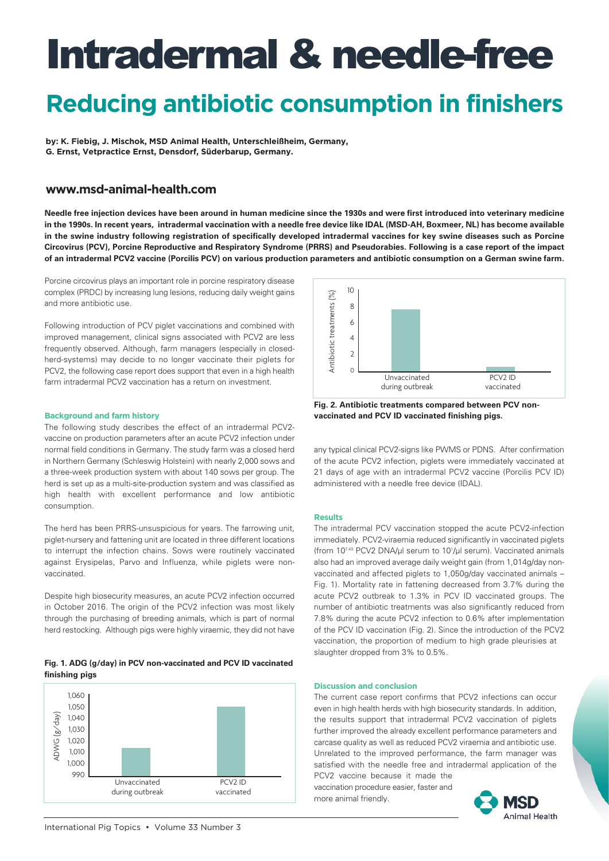## **Reducing antibiotic consumption in finishers**

**by: K. Fiebig, J. Mischok, MSD Animal Health, Unterschleißheim, Germany, G. Ernst, Vetpractice Ernst, Densdorf, Süderbarup, Germany.** 

### **[www.msd-animal-health.com](http://www.msd-animal-health.com)**

**Needle free injection devices have been around in human medicine since the 1930s and were first introduced into veterinary medicine in the 1990s. In recent years, intradermal vaccination with a needle free device like IDAL (MSD-AH, Boxmeer, NL) has become available in the swine industry following registration of specifically developed intradermal vaccines for key swine diseases such as Porcine Circovirus (PCV), Porcine Reproductive and Respiratory Syndrome (PRRS) and Pseudorabies. Following is a case report of the impact of an intradermal PCV2 vaccine (Porcilis PCV) on various production parameters and antibiotic consumption on a German swine farm.** 

Porcine circovirus plays an important role in porcine respiratory disease complex (PRDC) by increasing lung lesions, reducing daily weight gains and more antibiotic use.

Following introduction of PCV piglet vaccinations and combined with improved management, clinical signs associated with PCV2 are less frequently observed. Although, farm managers (especially in closedherd-systems) may decide to no longer vaccinate their piglets for PCV2, the following case report does support that even in a high health farm intradermal PCV2 vaccination has a return on investment.

#### **Background and farm history**

The following study describes the effect of an intradermal PCV2 vaccine on production parameters after an acute PCV2 infection under normal field conditions in Germany. The study farm was a closed herd in Northern Germany (Schleswig Holstein) with nearly 2,000 sows and a three-week production system with about 140 sows per group. The herd is set up as a multi-site-production system and was classified as high health with excellent performance and low antibiotic consumption.

The herd has been PRRS-unsuspicious for years. The farrowing unit, piglet-nursery and fattening unit are located in three different locations to interrupt the infection chains. Sows were routinely vaccinated against Erysipelas, Parvo and Influenza, while piglets were nonvaccinated.

Despite high biosecurity measures, an acute PCV2 infection occurred in October 2016. The origin of the PCV2 infection was most likely through the purchasing of breeding animals, which is part of normal herd restocking. Although pigs were highly viraemic, they did not have







**Fig. 2. Antibiotic treatments compared between PCV nonvaccinated and PCV ID vaccinated finishing pigs.**

any typical clinical PCV2-signs like PWMS or PDNS. After confirmation of the acute PCV2 infection, piglets were immediately vaccinated at 21 days of age with an intradermal PCV2 vaccine (Porcilis PCV ID) administered with a needle free device (IDAL).

#### **Results**

The intradermal PCV vaccination stopped the acute PCV2-infection immediately. PCV2-viraemia reduced significantly in vaccinated piglets (from 107.43 PCV2 DNA/μl serum to 101 /μl serum). Vaccinated animals also had an improved average daily weight gain (from 1,014g/day nonvaccinated and affected piglets to 1,050g/day vaccinated animals – Fig. 1). Mortality rate in fattening decreased from 3.7% during the acute PCV2 outbreak to 1.3% in PCV ID vaccinated groups. The number of antibiotic treatments was also significantly reduced from 7.8% during the acute PCV2 infection to 0.6% after implementation of the PCV ID vaccination (Fig. 2). Since the introduction of the PCV2 vaccination, the proportion of medium to high grade pleurisies at slaughter dropped from 3% to 0.5%.

#### **Discussion and conclusion**

The current case report confirms that PCV2 infections can occur even in high health herds with high biosecurity standards. In addition, the results support that intradermal PCV2 vaccination of piglets further improved the already excellent performance parameters and carcase quality as well as reduced PCV2 viraemia and antibiotic use. Unrelated to the improved performance, the farm manager was satisfied with the needle free and intradermal application of the

PCV2 vaccine because it made the vaccination procedure easier, faster and more animal friendly.

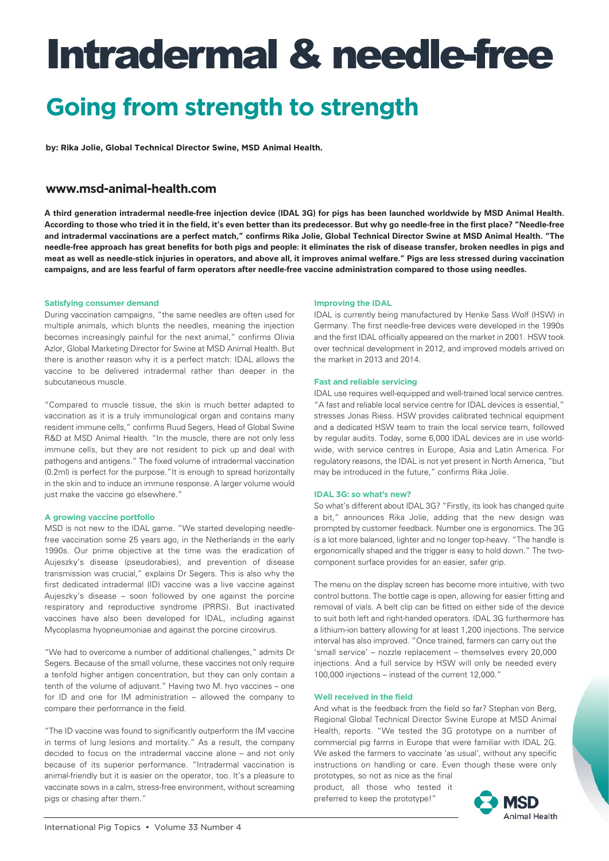## **Going from strength to strength**

**by: Rika Jolie, Global Technical Director Swine, MSD Animal Health.** 

### **[www.msd-animal-health.com](http://www.msd-animal-health.com)**

**A third generation intradermal needle-free injection device (IDAL 3G) for pigs has been launched worldwide by MSD Animal Health. According to those who tried it in the field, it's even better than its predecessor. But why go needle-free in the first place? "Needle-free and intradermal vaccinations are a perfect match," confirms Rika Jolie, Global Technical Director Swine at MSD Animal Health. "The needle-free approach has great benefits for both pigs and people: it eliminates the risk of disease transfer, broken needles in pigs and meat as well as needle-stick injuries in operators, and above all, it improves animal welfare." Pigs are less stressed during vaccination campaigns, and are less fearful of farm operators after needle-free vaccine administration compared to those using needles.**

#### **Satisfying consumer demand**

During vaccination campaigns, "the same needles are often used for multiple animals, which blunts the needles, meaning the injection becomes increasingly painful for the next animal," confirms Olivia Azlor, Global Marketing Director for Swine at MSD Animal Health. But there is another reason why it is a perfect match: IDAL allows the vaccine to be delivered intradermal rather than deeper in the subcutaneous muscle.

"Compared to muscle tissue, the skin is much better adapted to vaccination as it is a truly immunological organ and contains many resident immune cells," confirms Ruud Segers, Head of Global Swine R&D at MSD Animal Health. "In the muscle, there are not only less immune cells, but they are not resident to pick up and deal with pathogens and antigens." The fixed volume of intradermal vaccination (0.2ml) is perfect for the purpose."It is enough to spread horizontally in the skin and to induce an immune response. A larger volume would just make the vaccine go elsewhere."

#### **A growing vaccine portfolio**

MSD is not new to the IDAL game. "We started developing needlefree vaccination some 25 years ago, in the Netherlands in the early 1990s. Our prime objective at the time was the eradication of Aujeszky's disease (pseudorabies), and prevention of disease transmission was crucial," explains Dr Segers. This is also why the first dedicated intradermal (ID) vaccine was a live vaccine against Aujeszky's disease – soon followed by one against the porcine respiratory and reproductive syndrome (PRRS). But inactivated vaccines have also been developed for IDAL, including against Mycoplasma hyopneumoniae and against the porcine circovirus.

"We had to overcome a number of additional challenges," admits Dr Segers. Because of the small volume, these vaccines not only require a tenfold higher antigen concentration, but they can only contain a tenth of the volume of adjuvant." Having two M. hyo vaccines – one for ID and one for IM administration – allowed the company to compare their performance in the field.

"The ID vaccine was found to significantly outperform the IM vaccine in terms of lung lesions and mortality." As a result, the company decided to focus on the intradermal vaccine alone – and not only because of its superior performance. "Intradermal vaccination is animal-friendly but it is easier on the operator, too. It's a pleasure to vaccinate sows in a calm, stress-free environment, without screaming pigs or chasing after them."

#### **Improving the IDAL**

IDAL is currently being manufactured by Henke Sass Wolf (HSW) in Germany. The first needle-free devices were developed in the 1990s and the first IDAL officially appeared on the market in 2001. HSW took over technical development in 2012, and improved models arrived on the market in 2013 and 2014.

#### **Fast and reliable servicing**

IDAL use requires well-equipped and well-trained local service centres. "A fast and reliable local service centre for IDAL devices is essential," stresses Jonas Riess. HSW provides calibrated technical equipment and a dedicated HSW team to train the local service team, followed by regular audits. Today, some 6,000 IDAL devices are in use worldwide, with service centres in Europe, Asia and Latin America. For regulatory reasons, the IDAL is not yet present in North America, "but may be introduced in the future," confirms Rika Jolie.

#### **IDAL 3G: so what's new?**

So what's different about IDAL 3G? "Firstly, its look has changed quite a bit," announces Rika Jolie, adding that the new design was prompted by customer feedback. Number one is ergonomics. The 3G is a lot more balanced, lighter and no longer top-heavy. "The handle is ergonomically shaped and the trigger is easy to hold down." The twocomponent surface provides for an easier, safer grip.

The menu on the display screen has become more intuitive, with two control buttons. The bottle cage is open, allowing for easier fitting and removal of vials. A belt clip can be fitted on either side of the device to suit both left and right-handed operators. IDAL 3G furthermore has a lithium-ion battery allowing for at least 1,200 injections. The service interval has also improved. "Once trained, farmers can carry out the 'small service' – nozzle replacement – themselves every 20,000 injections. And a full service by HSW will only be needed every 100,000 injections – instead of the current 12,000."

#### **Well received in the field**

And what is the feedback from the field so far? Stephan von Berg, Regional Global Technical Director Swine Europe at MSD Animal Health, reports. "We tested the 3G prototype on a number of commercial pig farms in Europe that were familiar with IDAL 2G. We asked the farmers to vaccinate 'as usual', without any specific instructions on handling or care. Even though these were only

prototypes, so not as nice as the final product, all those who tested it preferred to keep the prototype!"

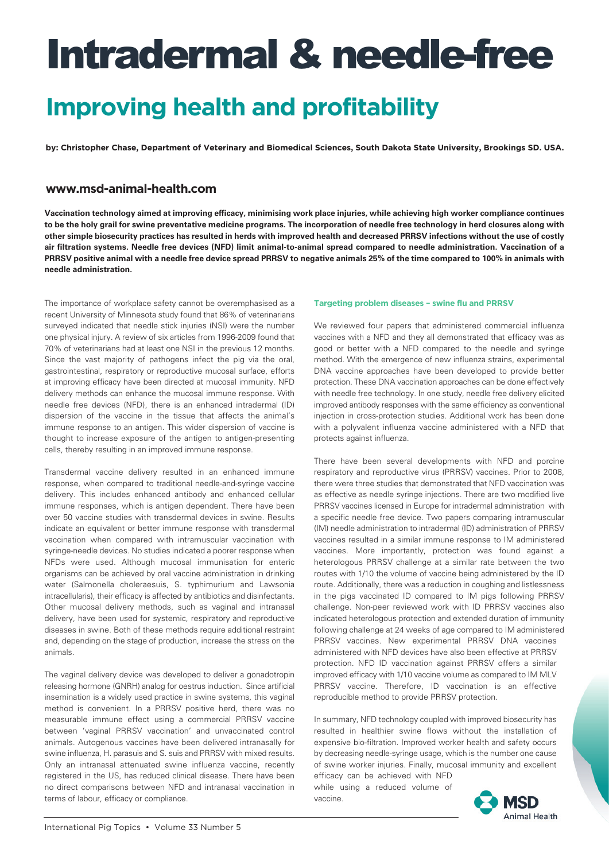## **Improving health and profitability**

**by: Christopher Chase, Department of Veterinary and Biomedical Sciences, South Dakota State University, Brookings SD. USA.** 

### **[www.msd-animal-health.com](http://www.msd-animal-health.com)**

**Vaccination technology aimed at improving efficacy, minimising work place injuries, while achieving high worker compliance continues to be the holy grail for swine preventative medicine programs. The incorporation of needle free technology in herd closures along with other simple biosecurity practices has resulted in herds with improved health and decreased PRRSV infections without the use of costly air filtration systems. Needle free devices (NFD) limit animal-to-animal spread compared to needle administration. Vaccination of a PRRSV positive animal with a needle free device spread PRRSV to negative animals 25% of the time compared to 100% in animals with needle administration.**

The importance of workplace safety cannot be overemphasised as a recent University of Minnesota study found that 86% of veterinarians surveyed indicated that needle stick injuries (NSI) were the number one physical injury. A review of six articles from 1996-2009 found that 70% of veterinarians had at least one NSI in the previous 12 months. Since the vast majority of pathogens infect the pig via the oral, gastrointestinal, respiratory or reproductive mucosal surface, efforts at improving efficacy have been directed at mucosal immunity. NFD delivery methods can enhance the mucosal immune response. With needle free devices (NFD), there is an enhanced intradermal (ID) dispersion of the vaccine in the tissue that affects the animal's immune response to an antigen. This wider dispersion of vaccine is thought to increase exposure of the antigen to antigen-presenting cells, thereby resulting in an improved immune response.

Transdermal vaccine delivery resulted in an enhanced immune response, when compared to traditional needle-and-syringe vaccine delivery. This includes enhanced antibody and enhanced cellular immune responses, which is antigen dependent. There have been over 50 vaccine studies with transdermal devices in swine. Results indicate an equivalent or better immune response with transdermal vaccination when compared with intramuscular vaccination with syringe-needle devices. No studies indicated a poorer response when NFDs were used. Although mucosal immunisation for enteric organisms can be achieved by oral vaccine administration in drinking water (Salmonella choleraesuis, S. typhimurium and Lawsonia intracellularis), their efficacy is affected by antibiotics and disinfectants. Other mucosal delivery methods, such as vaginal and intranasal delivery, have been used for systemic, respiratory and reproductive diseases in swine. Both of these methods require additional restraint and, depending on the stage of production, increase the stress on the animals.

The vaginal delivery device was developed to deliver a gonadotropin releasing hormone (GNRH) analog for oestrus induction. Since artificial insemination is a widely used practice in swine systems, this vaginal method is convenient. In a PRRSV positive herd, there was no measurable immune effect using a commercial PRRSV vaccine between 'vaginal PRRSV vaccination' and unvaccinated control animals. Autogenous vaccines have been delivered intranasally for swine influenza, H. parasuis and S. suis and PRRSV with mixed results. Only an intranasal attenuated swine influenza vaccine, recently registered in the US, has reduced clinical disease. There have been no direct comparisons between NFD and intranasal vaccination in terms of labour, efficacy or compliance.

#### **Targeting problem diseases – swine flu and PRRSV**

We reviewed four papers that administered commercial influenza vaccines with a NFD and they all demonstrated that efficacy was as good or better with a NFD compared to the needle and syringe method. With the emergence of new influenza strains, experimental DNA vaccine approaches have been developed to provide better protection. These DNA vaccination approaches can be done effectively with needle free technology. In one study, needle free delivery elicited improved antibody responses with the same efficiency as conventional injection in cross-protection studies. Additional work has been done with a polyvalent influenza vaccine administered with a NFD that protects against influenza.

There have been several developments with NFD and porcine respiratory and reproductive virus (PRRSV) vaccines. Prior to 2008, there were three studies that demonstrated that NFD vaccination was as effective as needle syringe injections. There are two modified live PRRSV vaccines licensed in Europe for intradermal administration with a specific needle free device. Two papers comparing intramuscular (IM) needle administration to intradermal (ID) administration of PRRSV vaccines resulted in a similar immune response to IM administered vaccines. More importantly, protection was found against a heterologous PRRSV challenge at a similar rate between the two routes with 1/10 the volume of vaccine being administered by the ID route. Additionally, there was a reduction in coughing and listlessness in the pigs vaccinated ID compared to IM pigs following PRRSV challenge. Non-peer reviewed work with ID PRRSV vaccines also indicated heterologous protection and extended duration of immunity following challenge at 24 weeks of age compared to IM administered PRRSV vaccines. New experimental PRRSV DNA vaccines administered with NFD devices have also been effective at PRRSV protection. NFD ID vaccination against PRRSV offers a similar improved efficacy with 1/10 vaccine volume as compared to IM MLV PRRSV vaccine. Therefore, ID vaccination is an effective reproducible method to provide PRRSV protection.

In summary, NFD technology coupled with improved biosecurity has resulted in healthier swine flows without the installation of expensive bio-filtration. Improved worker health and safety occurs by decreasing needle-syringe usage, which is the number one cause of swine worker injuries. Finally, mucosal immunity and excellent

efficacy can be achieved with NFD while using a reduced volume of vaccine.

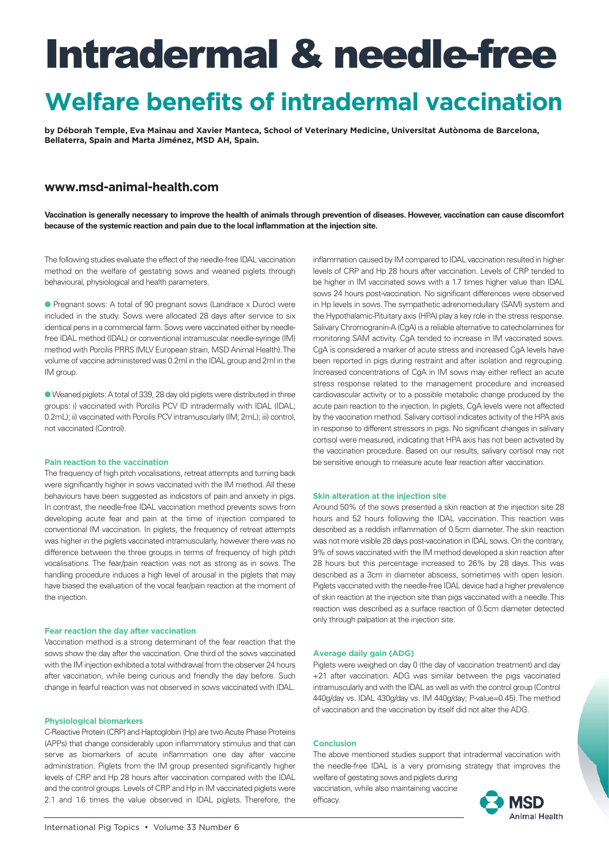## **Welfare benefits of intradermal vaccination**

**by Déborah Temple, Eva Mainau and Xavier Manteca, School of Veterinary Medicine, Universitat Autònoma de Barcelona, Bellaterra, Spain and Marta Jiménez, MSD AH, Spain.** 

### **[www.msd-animal-health.com](http://www.msd-animal-health.com)**

**Vaccination is generally necessary to improve the health of animals through prevention of diseases. However, vaccination can cause discomfort because of the systemic reaction and pain due to the local inflammation at the injection site.** 

The following studies evaluate the effect of the needle-free IDAL vaccination method on the welfare of gestating sows and weaned piglets through behavioural, physiological and health parameters.

● Pregnant sows: A total of 90 pregnant sows (Landrace x Duroc) were included in the study. Sows were allocated 28 days after service to six identical pens in a commercial farm. Sows were vaccinated either by needlefree IDAL method (IDAL) or conventional intramuscular needle-syringe (IM) method with Porcilis PRRS (MLV European strain, MSD Animal Health). The volume of vaccine administered was 0.2ml in the IDAL group and 2ml in the IM group.

l Weaned piglets: A total of 339, 28 day old piglets were distributed in three groups: i) vaccinated with Porcilis PCV ID intradermally with IDAL (IDAL; 0.2mL); ii) vaccinated with Porcilis PCV intramuscularly (IM; 2mL); iii) control, not vaccinated (Control).

#### **Pain reaction to the vaccination**

The frequency of high pitch vocalisations, retreat attempts and turning back were significantly higher in sows vaccinated with the IM method. All these behaviours have been suggested as indicators of pain and anxiety in pigs. In contrast, the needle-free IDAL vaccination method prevents sows from developing acute fear and pain at the time of injection compared to conventional IM vaccination. In piglets, the frequency of retreat attempts was higher in the piglets vaccinated intramuscularly, however there was no difference between the three groups in terms of frequency of high pitch vocalisations. The fear/pain reaction was not as strong as in sows. The handling procedure induces a high level of arousal in the piglets that may have biased the evaluation of the vocal fear/pain reaction at the moment of the injection.

#### **Fear reaction the day after vaccination**

Vaccination method is a strong determinant of the fear reaction that the sows show the day after the vaccination. One third of the sows vaccinated with the IM injection exhibited a total withdrawal from the observer 24 hours after vaccination, while being curious and friendly the day before. Such change in fearful reaction was not observed in sows vaccinated with IDAL.

#### **Physiological biomarkers**

C-Reactive Protein (CRP) and Haptoglobin (Hp) are two Acute Phase Proteins (APPs) that change considerably upon inflammatory stimulus and that can serve as biomarkers of acute inflammation one day after vaccine administration. Piglets from the IM group presented significantly higher levels of CRP and Hp 28 hours after vaccination compared with the IDAL and the control groups. Levels of CRP and Hp in IM vaccinated piglets were 2.1 and 1.6 times the value observed in IDAL piglets. Therefore, the

inflammation caused by IM compared to IDAL vaccination resulted in higher levels of CRP and Hp 28 hours after vaccination. Levels of CRP tended to be higher in IM vaccinated sows with a 1.7 times higher value than IDAL sows 24 hours post-vaccination. No significant differences were observed in Hp levels in sows. The sympathetic adrenomedullary (SAM) system and the Hypothalamic-Pituitary axis (HPA) play a key role in the stress response. Salivary Chromogranin-A (CgA) is a reliable alternative to catecholamines for monitoring SAM activity. CgA tended to increase in IM vaccinated sows. CgA is considered a marker of acute stress and increased CgA levels have been reported in pigs during restraint and after isolation and regrouping. Increased concentrations of CgA in IM sows may either reflect an acute stress response related to the management procedure and increased cardiovascular activity or to a possible metabolic change produced by the acute pain reaction to the injection. In piglets, CgA levels were not affected by the vaccination method. Salivary cortisol indicates activity of the HPA axis in response to different stressors in pigs. No significant changes in salivary cortisol were measured, indicating that HPA axis has not been activated by the vaccination procedure. Based on our results, salivary cortisol may not be sensitive enough to measure acute fear reaction after vaccination.

#### **Skin alteration at the injection site**

Around 50% of the sows presented a skin reaction at the injection site 28 hours and 52 hours following the IDAL vaccination. This reaction was described as a reddish inflammation of 0.5cm diameter. The skin reaction was not more visible 28 days post-vaccination in IDAL sows. On the contrary, 9% of sows vaccinated with the IM method developed a skin reaction after 28 hours but this percentage increased to 26% by 28 days. This was described as a 3cm in diameter abscess, sometimes with open lesion. Piglets vaccinated with the needle-free IDAL device had a higher prevalence of skin reaction at the injection site than pigs vaccinated with a needle. This reaction was described as a surface reaction of 0.5cm diameter detected only through palpation at the injection site.

#### **Average daily gain (ADG)**

Piglets were weighed on day 0 (the day of vaccination treatment) and day +21 after vaccination. ADG was similar between the pigs vaccinated intramuscularly and with the IDAL as well as with the control group (Control 440g/day vs. IDAL 430g/day vs. IM 440g/day; P-value=0.45). The method of vaccination and the vaccination by itself did not alter the ADG.

#### **Conclusion**

The above mentioned studies support that intradermal vaccination with the needle-free IDAL is a very promising strategy that improves the welfare of gestating sows and piglets during

vaccination, while also maintaining vaccine efficacy.

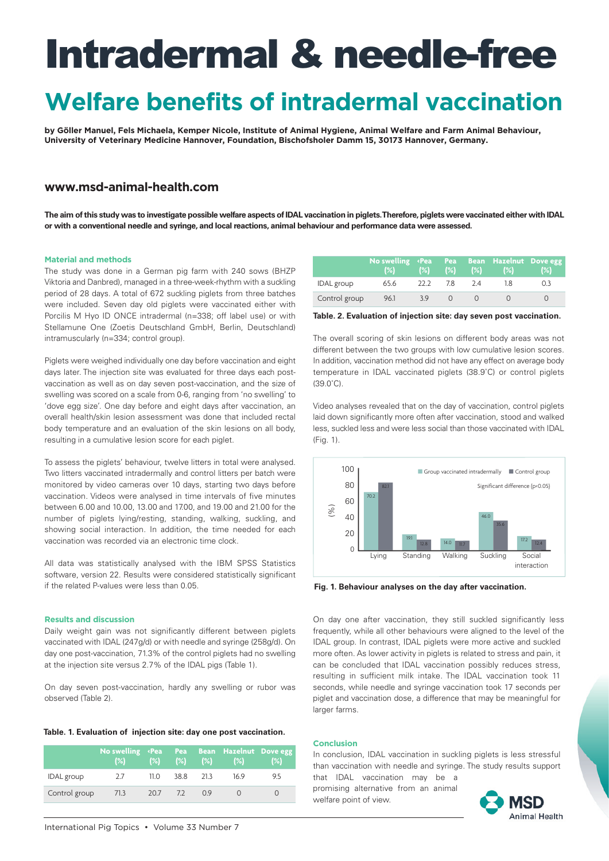## **Welfare benefits of intradermal vaccination**

**by Göller Manuel, Fels Michaela, Kemper Nicole, Institute of Animal Hygiene, Animal Welfare and Farm Animal Behaviour, University of Veterinary Medicine Hannover, Foundation, Bischofsholer Damm 15, 30173 Hannover, Germany.** 

### **[www.msd-animal-health.com](http://www.msd-animal-health.com)**

**The aim of this study was to investigate possible welfare aspects of IDAL vaccination in piglets. Therefore, piglets were vaccinated either with IDAL or with a conventional needle and syringe, and local reactions, animal behaviour and performance data were assessed.** 

#### **Material and methods**

The study was done in a German pig farm with 240 sows (BHZP Viktoria and Danbred), managed in a three-week-rhythm with a suckling period of 28 days. A total of 672 suckling piglets from three batches were included. Seven day old piglets were vaccinated either with Porcilis M Hyo ID ONCE intradermal (n=338; off label use) or with Stellamune One (Zoetis Deutschland GmbH, Berlin, Deutschland) intramuscularly (n=334; control group).

Piglets were weighed individually one day before vaccination and eight days later. The injection site was evaluated for three days each postvaccination as well as on day seven post-vaccination, and the size of swelling was scored on a scale from 0-6, ranging from 'no swelling' to 'dove egg size'. One day before and eight days after vaccination, an overall health/skin lesion assessment was done that included rectal body temperature and an evaluation of the skin lesions on all body, resulting in a cumulative lesion score for each piglet.

To assess the piglets' behaviour, twelve litters in total were analysed. Two litters vaccinated intradermally and control litters per batch were monitored by video cameras over 10 days, starting two days before vaccination. Videos were analysed in time intervals of five minutes between 6.00 and 10.00, 13.00 and 17.00, and 19.00 and 21.00 for the number of piglets lying/resting, standing, walking, suckling, and showing social interaction. In addition, the time needed for each vaccination was recorded via an electronic time clock.

All data was statistically analysed with the IBM SPSS Statistics software, version 22. Results were considered statistically significant if the related P-values were less than 0.05.

#### **Results and discussion**

Daily weight gain was not significantly different between piglets vaccinated with IDAL (247g/d) or with needle and syringe (258g/d). On day one post-vaccination, 71.3% of the control piglets had no swelling at the injection site versus 2.7% of the IDAL pigs (Table 1).

On day seven post-vaccination, hardly any swelling or rubor was observed (Table 2).

#### **Table. 1. Evaluation of injection site: day one post vaccination.**

|                   | No swelling <pea<br>(%)</pea<br> | $(\%)$ | <b>Pea</b> | (%) (%) | Bean Hazelnut Dove egg<br>(%) | (%) |
|-------------------|----------------------------------|--------|------------|---------|-------------------------------|-----|
| <b>IDAL</b> group | 2.7                              | 11.O   | 38.8       | 21.3    | 169                           | 9.5 |
| Control group     | 71.3                             | 20.7   | $-7.2$     | 0.9     |                               |     |

|                   | No swelling <pea bean="" dove="" egg<br="" hazelnut="" pea=""><math>(\%)</math></pea> |      | (%) (%) (%) |    | $\blacktriangleleft$ (%) | (2) |
|-------------------|---------------------------------------------------------------------------------------|------|-------------|----|--------------------------|-----|
| <b>IDAL</b> group | 65.6                                                                                  | 22 Z | 7.8         | 24 | 18                       | 03  |
| Control group     | 96.1                                                                                  | 39   |             |    |                          |     |

**Table. 2. Evaluation of injection site: day seven post vaccination.**

The overall scoring of skin lesions on different body areas was not different between the two groups with low cumulative lesion scores. In addition, vaccination method did not have any effect on average body temperature in IDAL vaccinated piglets (38.9˚C) or control piglets (39.0˚C).

Video analyses revealed that on the day of vaccination, control piglets laid down significantly more often after vaccination, stood and walked less, suckled less and were less social than those vaccinated with IDAL (Fig. 1).



**Fig. 1. Behaviour analyses on the day after vaccination.**

On day one after vaccination, they still suckled significantly less frequently, while all other behaviours were aligned to the level of the IDAL group. In contrast, IDAL piglets were more active and suckled more often. As lower activity in piglets is related to stress and pain, it can be concluded that IDAL vaccination possibly reduces stress, resulting in sufficient milk intake. The IDAL vaccination took 11 seconds, while needle and syringe vaccination took 17 seconds per piglet and vaccination dose, a difference that may be meaningful for larger farms.

#### **Conclusion**

In conclusion, IDAL vaccination in suckling piglets is less stressful than vaccination with needle and syringe. The study results support

that IDAL vaccination may be a promising alternative from an animal welfare point of view.